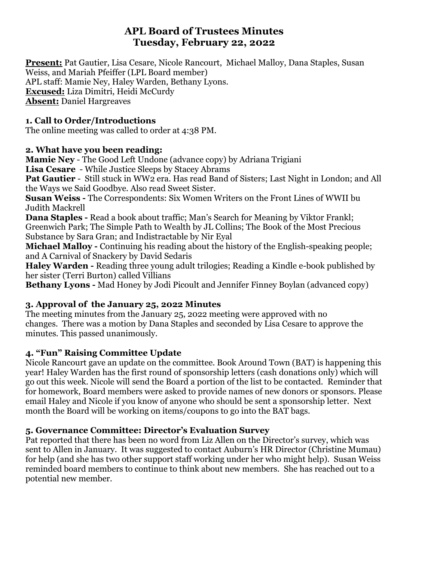# **APL Board of Trustees Minutes Tuesday, February 22, 2022**

**Present:** Pat Gautier, Lisa Cesare, Nicole Rancourt, Michael Malloy, Dana Staples, Susan Weiss, and Mariah Pfeiffer (LPL Board member) APL staff: Mamie Ney, Haley Warden, Bethany Lyons. **Excused:** Liza Dimitri, Heidi McCurdy **Absent:** Daniel Hargreaves

### **1. Call to Order/Introductions**

The online meeting was called to order at 4:38 PM.

#### **2. What have you been reading:**

**Mamie Ney** - The Good Left Undone (advance copy) by Adriana Trigiani **Lisa Cesare** - While Justice Sleeps by Stacey Abrams

**Pat Gautier** - Still stuck in WW2 era. Has read Band of Sisters; Last Night in London; and All the Ways we Said Goodbye. Also read Sweet Sister.

**Susan Weiss -** The Correspondents: Six Women Writers on the Front Lines of WWII bu Judith Mackrell

**Dana Staples -** Read a book about traffic; Man's Search for Meaning by Viktor Frankl; Greenwich Park; The Simple Path to Wealth by JL Collins; The Book of the Most Precious Substance by Sara Gran; and Indistractable by Nir Eyal

**Michael Malloy -** Continuing his reading about the history of the English-speaking people; and A Carnival of Snackery by David Sedaris

**Haley Warden -** Reading three young adult trilogies; Reading a Kindle e-book published by her sister (Terri Burton) called Villians

**Bethany Lyons -** Mad Honey by Jodi Picoult and Jennifer Finney Boylan (advanced copy)

## **3. Approval of the January 25, 2022 Minutes**

The meeting minutes from the January 25, 2022 meeting were approved with no changes. There was a motion by Dana Staples and seconded by Lisa Cesare to approve the minutes. This passed unanimously.

## **4. "Fun" Raising Committee Update**

Nicole Rancourt gave an update on the committee. Book Around Town (BAT) is happening this year! Haley Warden has the first round of sponsorship letters (cash donations only) which will go out this week. Nicole will send the Board a portion of the list to be contacted. Reminder that for homework, Board members were asked to provide names of new donors or sponsors. Please email Haley and Nicole if you know of anyone who should be sent a sponsorship letter. Next month the Board will be working on items/coupons to go into the BAT bags.

## **5. Governance Committee: Director's Evaluation Survey**

Pat reported that there has been no word from Liz Allen on the Director's survey, which was sent to Allen in January. It was suggested to contact Auburn's HR Director (Christine Mumau) for help (and she has two other support staff working under her who might help). Susan Weiss reminded board members to continue to think about new members. She has reached out to a potential new member.